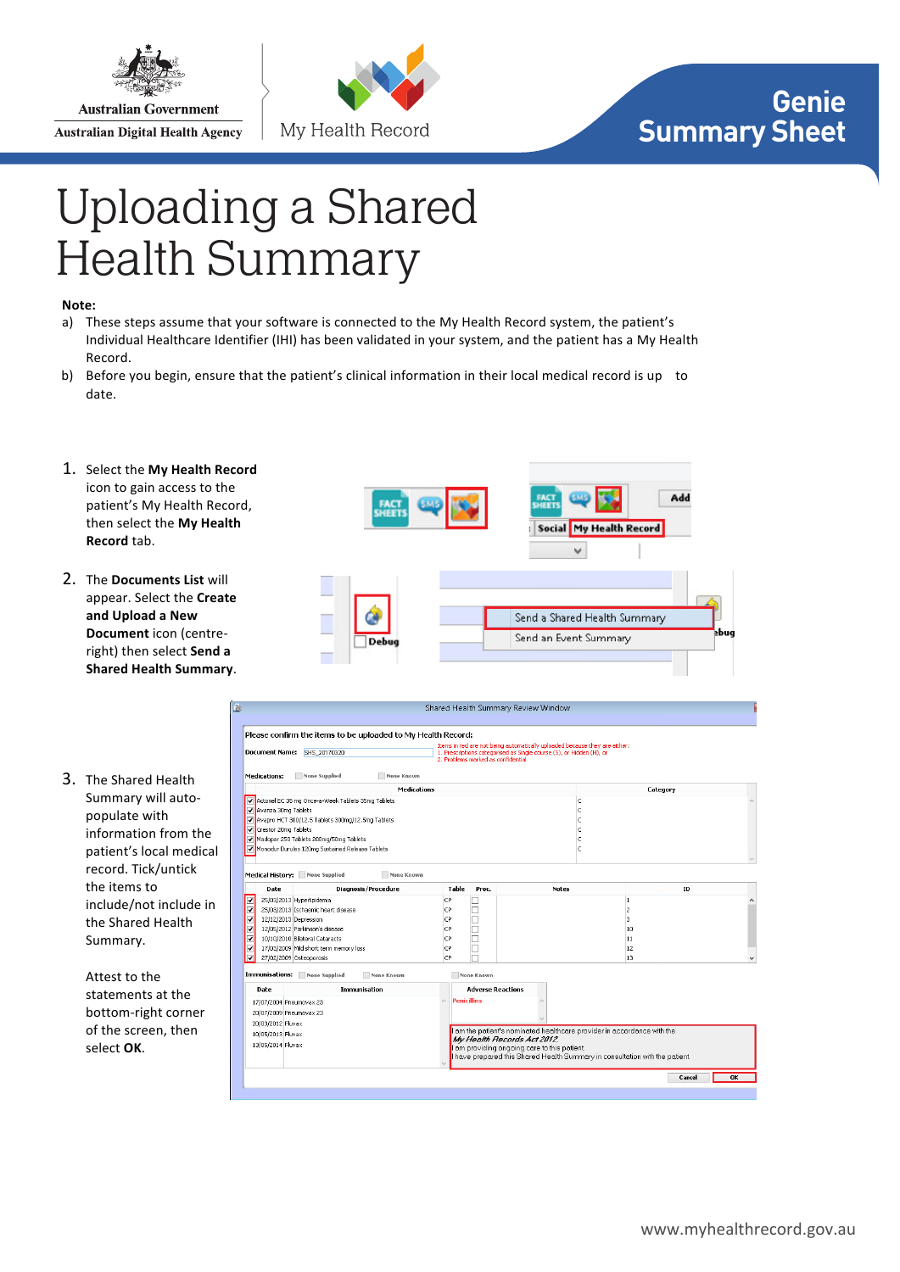

**Australian Government Australian Digital Health Agency** 



## **Genie Summary Sheet**

## Uploading a Shared<br>Health Summary

## Note:

- a) These steps assume that your software is connected to the My Health Record system, the patient's Individual Healthcare Identifier (IHI) has been validated in your system, and the patient has a My Health Record.
- b) Before you begin, ensure that the patient's clinical information in their local medical record is up to date.
- 1. Select the My Health Record icon to gain access to the patient's My Health Record, then select the My Health **Record** tab.
- 2. The **Documents List** will appear. Select the **Create** and Upload a New **Document** icon (centreright) then select Send a **Shared Health Summary.**
- 3. The Shared Health Summary will autopopulate with information from the patient's local medical record. Tick/untick the items to include/not include in the Shared Health Summary.

Attest to the statements at the bottom-right corner of the screen, then select OK.



|                         | <b>Document Name:</b>                                       | Please confirm the items to be uploaded to My Health Record:<br>SHS 20170320                                                                                                                                                      |                                                                                                                                                                                                                                                                   | 2. Problems marked as confidential     | Items in red are not being automatically uploaded because they are either:<br>1. Prescriptions categorised as Single course (S), or Hidden (H), or |                                              |    |
|-------------------------|-------------------------------------------------------------|-----------------------------------------------------------------------------------------------------------------------------------------------------------------------------------------------------------------------------------|-------------------------------------------------------------------------------------------------------------------------------------------------------------------------------------------------------------------------------------------------------------------|----------------------------------------|----------------------------------------------------------------------------------------------------------------------------------------------------|----------------------------------------------|----|
|                         | <b>Medications:</b>                                         | None Supplied<br>None Known<br><b>Medications</b>                                                                                                                                                                                 |                                                                                                                                                                                                                                                                   |                                        |                                                                                                                                                    | Category                                     |    |
|                         | Wavanza 30mg Tablets<br>Crestor 20mg Tablets                | Actonel EC 35 mg Once-a-Week Tablets 35mg Tablets<br>Avapro HCT 300/12.5 Tablets 300mg/12.5mg Tablets<br>Madopar 250 Tablets 200mg/50mg Tablets<br>Monodur Durules 120mg Sustained Release Tablets                                |                                                                                                                                                                                                                                                                   |                                        | c<br>c<br>c<br>Ċ<br>c                                                                                                                              |                                              |    |
|                         |                                                             | Medical History: None Supplied<br>None Known                                                                                                                                                                                      |                                                                                                                                                                                                                                                                   |                                        |                                                                                                                                                    |                                              |    |
|                         | Date                                                        | <b>Diagnosis/Procedure</b>                                                                                                                                                                                                        | <b>Table</b>                                                                                                                                                                                                                                                      | Proc.                                  | <b>Notes</b>                                                                                                                                       |                                              | ID |
| $\overline{\mathbf{v}}$ |                                                             | 25/03/2013 Hyperlipidemia<br>25/03/2013 Ischaemic heart disease<br>12/12/2013 Depression<br>12/05/2012 Parkinson's disease<br>10/10/2010 Bilateral Cataracts<br>17/03/2009 Mild short term memory loss<br>27/02/2009 Osteoporosis | CP<br>CP<br>CP<br>CP<br>CP<br>CP<br>CP                                                                                                                                                                                                                            |                                        |                                                                                                                                                    | $\overline{c}$<br>B.<br>10<br>11<br>12<br>13 |    |
| Date                    | Immunisations:                                              | None Supplied<br>None Known<br>Immunisation                                                                                                                                                                                       |                                                                                                                                                                                                                                                                   | None Known<br><b>Adverse Reactions</b> |                                                                                                                                                    |                                              |    |
|                         | 20/03/2012 Fluvax<br>10/05/2013 Fluvax<br>13/05/2014 Fluvax | 17/07/2004 Pneumovax 23<br>20/07/2009 Pneumovax 23                                                                                                                                                                                | <b>Penicillins</b><br>A<br>I am the patient's nominated healthcare provider in accordance with the<br>My Health Records Act 2012.<br>I am providing ongoing care to this patient.<br>I have prepared this Shared Health Summary in consultation with the patient. |                                        |                                                                                                                                                    |                                              |    |